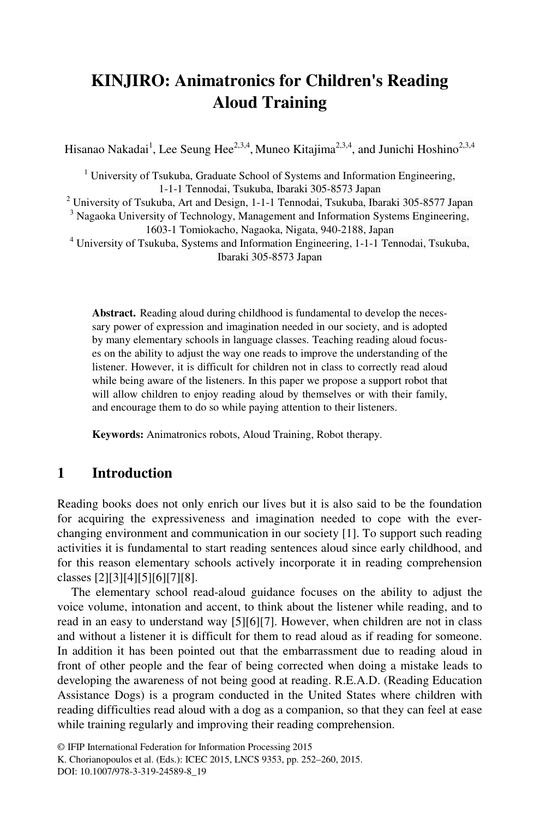# **KINJIRO: Animatronics for Children's Reading Aloud Training**

Hisanao Nakadai<sup>1</sup>, Lee Seung Hee<sup>2,3,4</sup>, Muneo Kitajima<sup>2,3,4</sup>, and Junichi Hoshino<sup>2,3,4</sup>

<sup>1</sup> University of Tsukuba, Graduate School of Systems and Information Engineering,

1-1-1 Tennodai, Tsukuba, Ibaraki 305-8573 Japan 2 University of Tsukuba, Art and Design, 1-1-1 Tennodai, Tsukuba, Ibaraki 305-8577 Japan

<sup>3</sup> Nagaoka University of Technology, Management and Information Systems Engineering,<br>1603-1 Tomiokacho, Nagaoka, Nigata, 940-2188, Japan<br><sup>4</sup> University of Tsukuba, Systems and Information Engineering, 1-1-1 Tennodai, Tsuk

 University of Tsukuba, Systems and Information Engineering, 1-1-1 Tennodai, Tsukuba, Ibaraki 305-8573 Japan

**Abstract.** Reading aloud during childhood is fundamental to develop the necessary power of expression and imagination needed in our society, and is adopted by many elementary schools in language classes. Teaching reading aloud focuses on the ability to adjust the way one reads to improve the understanding of the listener. However, it is difficult for children not in class to correctly read aloud while being aware of the listeners. In this paper we propose a support robot that will allow children to enjoy reading aloud by themselves or with their family, and encourage them to do so while paying attention to their listeners.

**Keywords:** Animatronics robots, Aloud Training, Robot therapy.

### **1 Introduction**

Reading books does not only enrich our lives but it is also said to be the foundation for acquiring the expressiveness and imagination needed to cope with the everchanging environment and communication in our society [1]. To support such reading activities it is fundamental to start reading sentences aloud since early childhood, and for this reason elementary schools actively incorporate it in reading comprehension classes [2][3][4][5][6][7][8].

The elementary school read-aloud guidance focuses on the ability to adjust the voice volume, intonation and accent, to think about the listener while reading, and to read in an easy to understand way [5][6][7]. However, when children are not in class and without a listener it is difficult for them to read aloud as if reading for someone. In addition it has been pointed out that the embarrassment due to reading aloud in front of other people and the fear of being corrected when doing a mistake leads to developing the awareness of not being good at reading. R.E.A.D. (Reading Education Assistance Dogs) is a program conducted in the United States where children with reading difficulties read aloud with a dog as a companion, so that they can feel at ease while training regularly and improving their reading comprehension.

© IFIP International Federation for Information Processing 2015

K. Chorianopoulos et al. (Eds.): ICEC 2015, LNCS 9353, pp. 252–260, 2015. DOI: 10.1007/978-3-319-24589-8\_19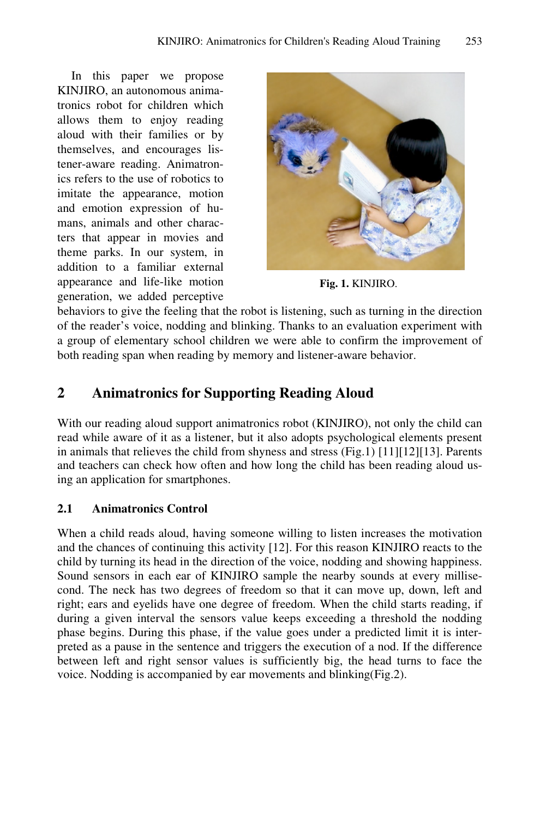In this paper we propose KINJIRO, an autonomous animatronics robot for children which allows them to enjoy reading aloud with their families or by themselves, and encourages listener-aware reading. Animatronics refers to the use of robotics to imitate the appearance, motion and emotion expression of humans, animals and other characters that appear in movies and theme parks. In our system, in addition to a familiar external appearance and life-like motion generation, we added perceptive



**Fig. 1.** KINJIRO.

behaviors to give the feeling that the robot is listening, such as turning in the direction of the reader's voice, nodding and blinking. Thanks to an evaluation experiment with a group of elementary school children we were able to confirm the improvement of both reading span when reading by memory and listener-aware behavior.

# **2 Animatronics for Supporting Reading Aloud**

With our reading aloud support animatronics robot (KINJIRO), not only the child can read while aware of it as a listener, but it also adopts psychological elements present in animals that relieves the child from shyness and stress (Fig.1) [11][12][13]. Parents and teachers can check how often and how long the child has been reading aloud using an application for smartphones.

#### **2.1 Animatronics Control**

When a child reads aloud, having someone willing to listen increases the motivation and the chances of continuing this activity [12]. For this reason KINJIRO reacts to the child by turning its head in the direction of the voice, nodding and showing happiness. Sound sensors in each ear of KINJIRO sample the nearby sounds at every millisecond. The neck has two degrees of freedom so that it can move up, down, left and right; ears and eyelids have one degree of freedom. When the child starts reading, if during a given interval the sensors value keeps exceeding a threshold the nodding phase begins. During this phase, if the value goes under a predicted limit it is interpreted as a pause in the sentence and triggers the execution of a nod. If the difference between left and right sensor values is sufficiently big, the head turns to face the voice. Nodding is accompanied by ear movements and blinking(Fig.2).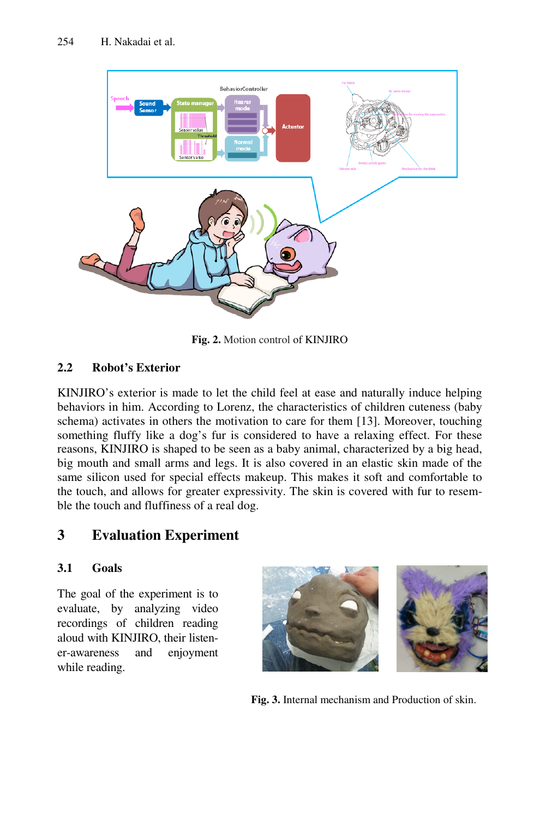

**Fig. 2.** Motion control of KINJIRO

#### **2.2 Robot's Exterior**

KINJIRO's exterior is made to let the child feel at ease and naturally induce helping behaviors in him. According to Lorenz, the characteristics of children cuteness (baby schema) activates in others the motivation to care for them [13]. Moreover, touching something fluffy like a dog's fur is considered to have a relaxing effect. For these reasons, KINJIRO is shaped to be seen as a baby animal, characterized by a big head, big mouth and small arms and legs. It is also covered in an elastic skin made of the same silicon used for special effects makeup. This makes it soft and comfortable to the touch, and allows for greater expressivity. The skin is covered with fur to resemble the touch and fluffiness of a real dog.

# **3 Evaluation Experiment**

#### **3.1 Goals**

The goal of the experiment is to evaluate, by analyzing video recordings of children reading aloud with KINJIRO, their listener-awareness and enjoyment while reading.



**Fig. 3.** Internal mechanism and Production of skin.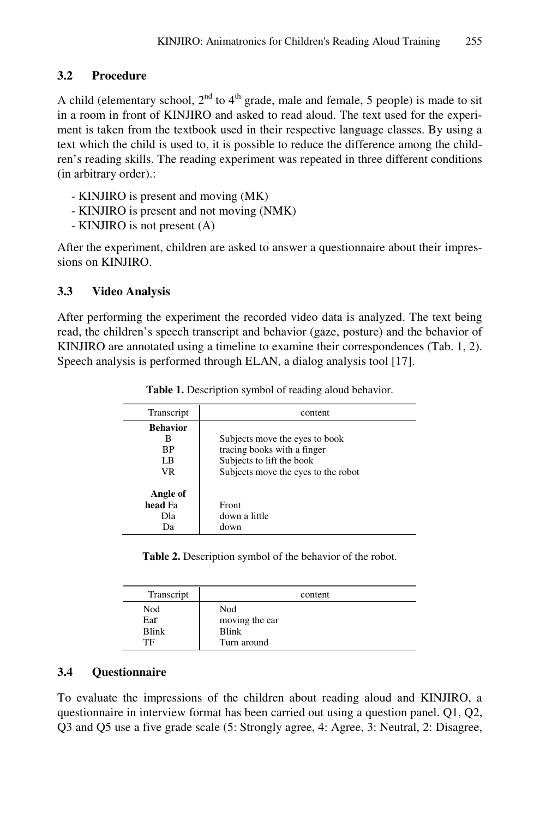#### **3.2 Procedure**

A child (elementary school,  $2<sup>nd</sup>$  to  $4<sup>th</sup>$  grade, male and female, 5 people) is made to sit in a room in front of KINJIRO and asked to read aloud. The text used for the experiment is taken from the textbook used in their respective language classes. By using a text which the child is used to, it is possible to reduce the difference among the children's reading skills. The reading experiment was repeated in three different conditions (in arbitrary order).:

- KINJIRO is present and moving (MK)
- KINJIRO is present and not moving (NMK)
- KINJIRO is not present (A)

After the experiment, children are asked to answer a questionnaire about their impressions on KINJIRO.

#### **3.3 Video Analysis**

After performing the experiment the recorded video data is analyzed. The text being read, the children's speech transcript and behavior (gaze, posture) and the behavior of KINJIRO are annotated using a timeline to examine their correspondences (Tab. 1, 2). Speech analysis is performed through ELAN, a dialog analysis tool [17].

| Transcript      | content                             |
|-----------------|-------------------------------------|
| <b>Behavior</b> |                                     |
| в               | Subjects move the eyes to book      |
| <b>BP</b>       | tracing books with a finger         |
| LB              | Subjects to lift the book           |
| VR              | Subjects move the eyes to the robot |
| Angle of        |                                     |
| head Fa         | Front                               |
| Dla             | down a little                       |
| Da              | down                                |

**Table 1.** Description symbol of reading aloud behavior.

**Table 2.** Description symbol of the behavior of the robot.

| Transcript   | content        |
|--------------|----------------|
| Nod          | Nod            |
| Ear          | moving the ear |
| <b>Blink</b> | <b>Blink</b>   |
| TF           | Turn around    |

#### **3.4 Questionnaire**

To evaluate the impressions of the children about reading aloud and KINJIRO, a questionnaire in interview format has been carried out using a question panel. Q1, Q2, Q3 and Q5 use a five grade scale (5: Strongly agree, 4: Agree, 3: Neutral, 2: Disagree,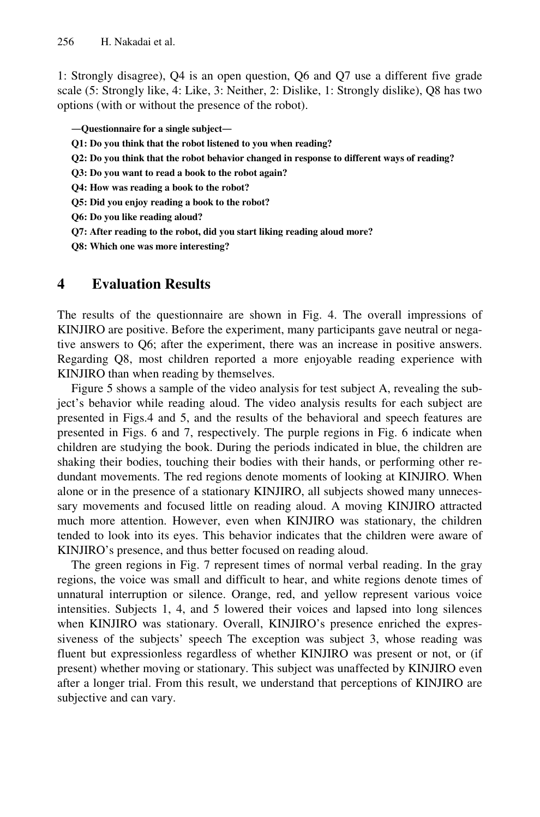1: Strongly disagree), Q4 is an open question, Q6 and Q7 use a different five grade scale (5: Strongly like, 4: Like, 3: Neither, 2: Dislike, 1: Strongly dislike), Q8 has two options (with or without the presence of the robot).

**―Questionnaire for a single subject―**

- **Q1: Do you think that the robot listened to you when reading?**
- **Q2: Do you think that the robot behavior changed in response to different ways of reading?**
- **Q3: Do you want to read a book to the robot again?**
- **Q4: How was reading a book to the robot?**
- **Q5: Did you enjoy reading a book to the robot?**
- **Q6: Do you like reading aloud?**
- **Q7: After reading to the robot, did you start liking reading aloud more?**
- **Q8: Which one was more interesting?**

#### **4 Evaluation Results**

The results of the questionnaire are shown in Fig. 4. The overall impressions of KINJIRO are positive. Before the experiment, many participants gave neutral or negative answers to Q6; after the experiment, there was an increase in positive answers. Regarding Q8, most children reported a more enjoyable reading experience with KINJIRO than when reading by themselves.

Figure 5 shows a sample of the video analysis for test subject A, revealing the subject's behavior while reading aloud. The video analysis results for each subject are presented in Figs.4 and 5, and the results of the behavioral and speech features are presented in Figs. 6 and 7, respectively. The purple regions in Fig. 6 indicate when children are studying the book. During the periods indicated in blue, the children are shaking their bodies, touching their bodies with their hands, or performing other redundant movements. The red regions denote moments of looking at KINJIRO. When alone or in the presence of a stationary KINJIRO, all subjects showed many unnecessary movements and focused little on reading aloud. A moving KINJIRO attracted much more attention. However, even when KINJIRO was stationary, the children tended to look into its eyes. This behavior indicates that the children were aware of KINJIRO's presence, and thus better focused on reading aloud.

The green regions in Fig. 7 represent times of normal verbal reading. In the gray regions, the voice was small and difficult to hear, and white regions denote times of unnatural interruption or silence. Orange, red, and yellow represent various voice intensities. Subjects 1, 4, and 5 lowered their voices and lapsed into long silences when KINJIRO was stationary. Overall, KINJIRO's presence enriched the expressiveness of the subjects' speech The exception was subject 3, whose reading was fluent but expressionless regardless of whether KINJIRO was present or not, or (if present) whether moving or stationary. This subject was unaffected by KINJIRO even after a longer trial. From this result, we understand that perceptions of KINJIRO are subjective and can vary.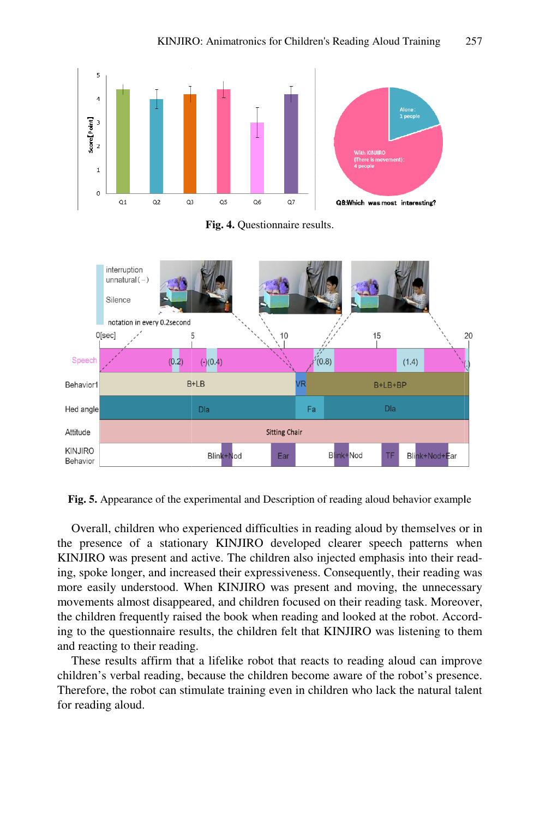

**Fig. 4.** Questionnaire results.



Fig. 5. Appearance of the experimental and Description of reading aloud behavior example

Overall, children who experienced difficulties in reading aloud by themselves or in the presence of a stationary KINJIRO developed clearer speech patterns when KINJIRO was present and active. The children also injected emphasis into their reading, spoke longer, and increased their expressiveness. Consequently, their reading was more easily understood. When KINJIRO was present and moving, the unnecessary movements almost disappeared, and children focused on their reading task. Moreover, the children frequently raised the book when reading and looked at the robot. According to the questionnaire results, the children felt that KINJIRO was listening to them and reacting to their reading.

These results affirm that a lifelike robot that reacts to reading aloud can improve children's verbal reading, because the children become aware of the robot's presence. Therefore, the robot can stimulate training even in children who lack the natural talent for reading aloud.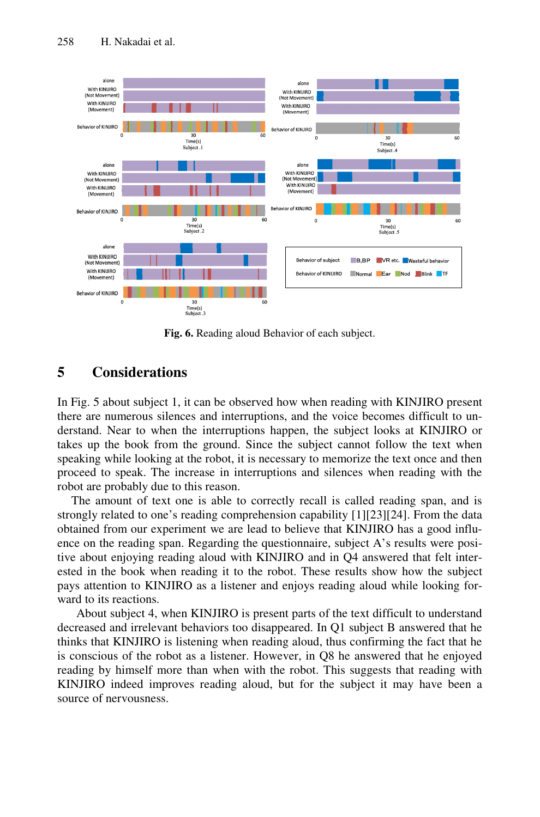

**Fig. 6.** Reading aloud Behavior of each subject.

#### **5 Considerations**

In Fig. 5 about subject 1, it can be observed how when reading with KINJIRO present there are numerous silences and interruptions, and the voice becomes difficult to understand. Near to when the interruptions happen, the subject looks at KINJIRO or takes up the book from the ground. Since the subject cannot follow the text when speaking while looking at the robot, it is necessary to memorize the text once and then proceed to speak. The increase in interruptions and silences when reading with the robot are probably due to this reason.

The amount of text one is able to correctly recall is called reading span, and is strongly related to one's reading comprehension capability [1][23][24]. From the data obtained from our experiment we are lead to believe that KINJIRO has a good influence on the reading span. Regarding the questionnaire, subject A's results were positive about enjoying reading aloud with KINJIRO and in Q4 answered that felt interested in the book when reading it to the robot. These results show how the subject pays attention to KINJIRO as a listener and enjoys reading aloud while looking forward to its reactions.

 About subject 4, when KINJIRO is present parts of the text difficult to understand decreased and irrelevant behaviors too disappeared. In Q1 subject B answered that he thinks that KINJIRO is listening when reading aloud, thus confirming the fact that he is conscious of the robot as a listener. However, in Q8 he answered that he enjoyed reading by himself more than when with the robot. This suggests that reading with KINJIRO indeed improves reading aloud, but for the subject it may have been a source of nervousness.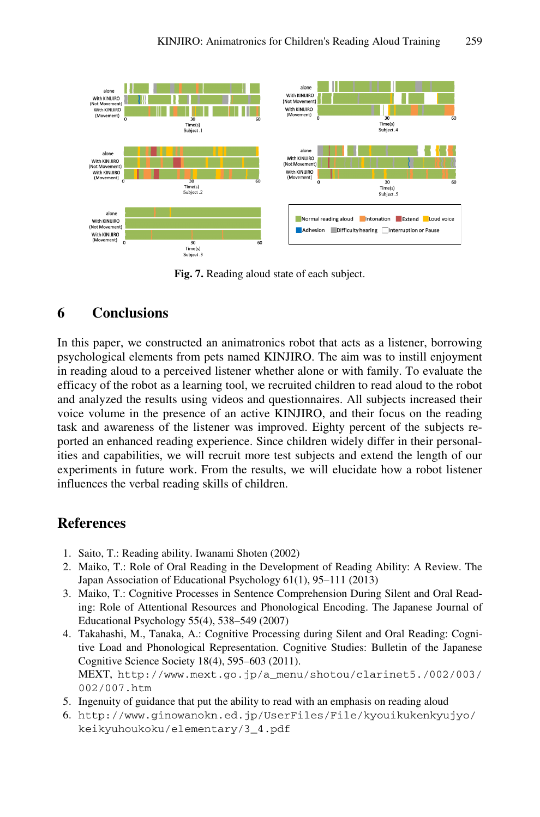

**Fig. 7.** Reading aloud state of each subject.

## **6 Conclusions**

In this paper, we constructed an animatronics robot that acts as a listener, borrowing psychological elements from pets named KINJIRO. The aim was to instill enjoyment in reading aloud to a perceived listener whether alone or with family. To evaluate the efficacy of the robot as a learning tool, we recruited children to read aloud to the robot and analyzed the results using videos and questionnaires. All subjects increased their voice volume in the presence of an active KINJIRO, and their focus on the reading task and awareness of the listener was improved. Eighty percent of the subjects reported an enhanced reading experience. Since children widely differ in their personalities and capabilities, we will recruit more test subjects and extend the length of our experiments in future work. From the results, we will elucidate how a robot listener influences the verbal reading skills of children.

# **References**

- 1. Saito, T.: Reading ability. Iwanami Shoten (2002)
- 2. Maiko, T.: Role of Oral Reading in the Development of Reading Ability: A Review. The Japan Association of Educational Psychology 61(1), 95–111 (2013)
- 3. Maiko, T.: Cognitive Processes in Sentence Comprehension During Silent and Oral Reading: Role of Attentional Resources and Phonological Encoding. The Japanese Journal of Educational Psychology 55(4), 538–549 (2007)
- 4. Takahashi, M., Tanaka, A.: Cognitive Processing during Silent and Oral Reading: Cognitive Load and Phonological Representation. Cognitive Studies: Bulletin of the Japanese Cognitive Science Society 18(4), 595–603 (2011). MEXT, http://www.mext.go.jp/a\_menu/shotou/clarinet5./002/003/ 002/007.htm
- 5. Ingenuity of guidance that put the ability to read with an emphasis on reading aloud
- 6. http://www.ginowanokn.ed.jp/UserFiles/File/kyouikukenkyujyo/ keikyuhoukoku/elementary/3\_4.pdf